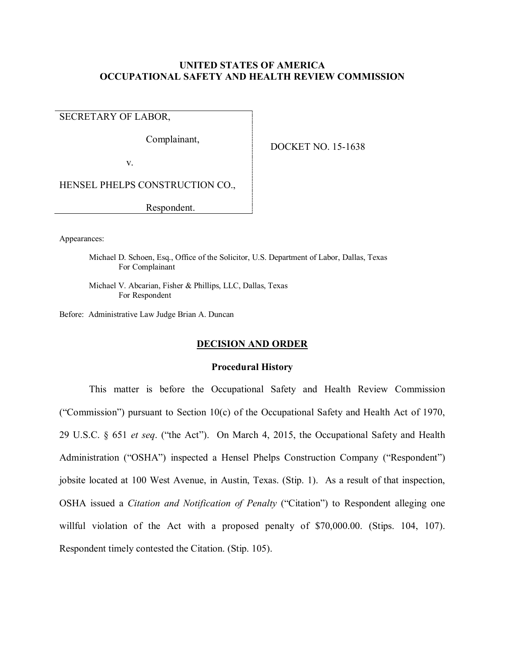# **UNITED STATES OF AMERICA OCCUPATIONAL SAFETY AND HEALTH REVIEW COMMISSION**

SECRETARY OF LABOR,

Complainant,

DOCKET NO. 15-1638

v.

HENSEL PHELPS CONSTRUCTION CO.,

Respondent.

Appearances:

Michael D. Schoen, Esq., Office of the Solicitor, U.S. Department of Labor, Dallas, Texas For Complainant

Michael V. Abcarian, Fisher & Phillips, LLC, Dallas, Texas For Respondent

Before: Administrative Law Judge Brian A. Duncan

# **DECISION AND ORDER**

### **Procedural History**

This matter is before the Occupational Safety and Health Review Commission ("Commission") pursuant to Section 10(c) of the Occupational Safety and Health Act of 1970, 29 U.S.C. § 651 *et seq*. ("the Act"). On March 4, 2015, the Occupational Safety and Health Administration ("OSHA") inspected a Hensel Phelps Construction Company ("Respondent") jobsite located at 100 West Avenue, in Austin, Texas. (Stip. 1). As a result of that inspection, OSHA issued a *Citation and Notification of Penalty* ("Citation") to Respondent alleging one willful violation of the Act with a proposed penalty of \$70,000.00. (Stips. 104, 107). Respondent timely contested the Citation. (Stip. 105).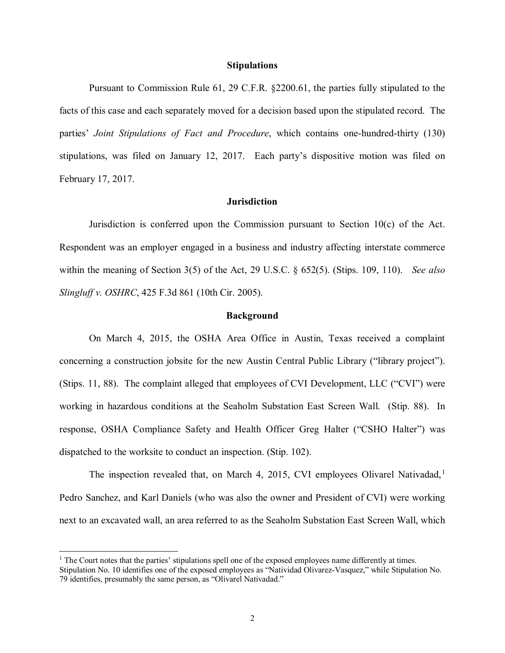### **Stipulations**

Pursuant to Commission Rule 61, 29 C.F.R. §2200.61, the parties fully stipulated to the facts of this case and each separately moved for a decision based upon the stipulated record. The parties' *Joint Stipulations of Fact and Procedure*, which contains one-hundred-thirty (130) stipulations, was filed on January 12, 2017. Each party's dispositive motion was filed on February 17, 2017.

# **Jurisdiction**

Jurisdiction is conferred upon the Commission pursuant to Section 10(c) of the Act. Respondent was an employer engaged in a business and industry affecting interstate commerce within the meaning of Section 3(5) of the Act, 29 U.S.C. § 652(5). (Stips. 109, 110). *See also Slingluff v. OSHRC*, 425 F.3d 861 (10th Cir. 2005).

#### **Background**

On March 4, 2015, the OSHA Area Office in Austin, Texas received a complaint concerning a construction jobsite for the new Austin Central Public Library ("library project"). (Stips. 11, 88). The complaint alleged that employees of CVI Development, LLC ("CVI") were working in hazardous conditions at the Seaholm Substation East Screen Wall. (Stip. 88). In response, OSHA Compliance Safety and Health Officer Greg Halter ("CSHO Halter") was dispatched to the worksite to conduct an inspection. (Stip. 102).

The inspection revealed that, on March 4, 20[1](#page-1-0)5, CVI employees Olivarel Nativadad,<sup>1</sup> Pedro Sanchez, and Karl Daniels (who was also the owner and President of CVI) were working next to an excavated wall, an area referred to as the Seaholm Substation East Screen Wall, which

 $\overline{a}$ 

<span id="page-1-0"></span> $<sup>1</sup>$  The Court notes that the parties' stipulations spell one of the exposed employees name differently at times.</sup> Stipulation No. 10 identifies one of the exposed employees as "Natividad Olivarez-Vasquez," while Stipulation No. 79 identifies, presumably the same person, as "Olivarel Nativadad."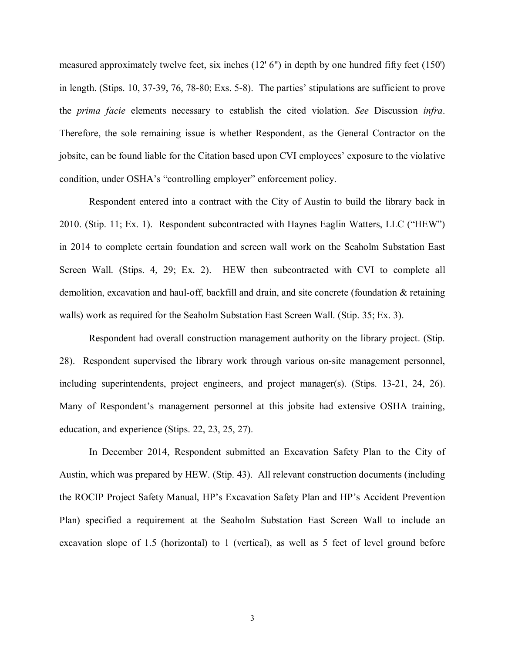measured approximately twelve feet, six inches (12' 6") in depth by one hundred fifty feet (150') in length. (Stips. 10, 37-39, 76, 78-80; Exs. 5-8). The parties' stipulations are sufficient to prove the *prima facie* elements necessary to establish the cited violation. *See* Discussion *infra*. Therefore, the sole remaining issue is whether Respondent, as the General Contractor on the jobsite, can be found liable for the Citation based upon CVI employees' exposure to the violative condition, under OSHA's "controlling employer" enforcement policy.

Respondent entered into a contract with the City of Austin to build the library back in 2010. (Stip. 11; Ex. 1). Respondent subcontracted with Haynes Eaglin Watters, LLC ("HEW") in 2014 to complete certain foundation and screen wall work on the Seaholm Substation East Screen Wall. (Stips. 4, 29; Ex. 2). HEW then subcontracted with CVI to complete all demolition, excavation and haul-off, backfill and drain, and site concrete (foundation & retaining walls) work as required for the Seaholm Substation East Screen Wall. (Stip. 35; Ex. 3).

Respondent had overall construction management authority on the library project. (Stip. 28). Respondent supervised the library work through various on-site management personnel, including superintendents, project engineers, and project manager(s). (Stips. 13-21, 24, 26). Many of Respondent's management personnel at this jobsite had extensive OSHA training, education, and experience (Stips. 22, 23, 25, 27).

In December 2014, Respondent submitted an Excavation Safety Plan to the City of Austin, which was prepared by HEW. (Stip. 43). All relevant construction documents (including the ROCIP Project Safety Manual, HP's Excavation Safety Plan and HP's Accident Prevention Plan) specified a requirement at the Seaholm Substation East Screen Wall to include an excavation slope of 1.5 (horizontal) to 1 (vertical), as well as 5 feet of level ground before

3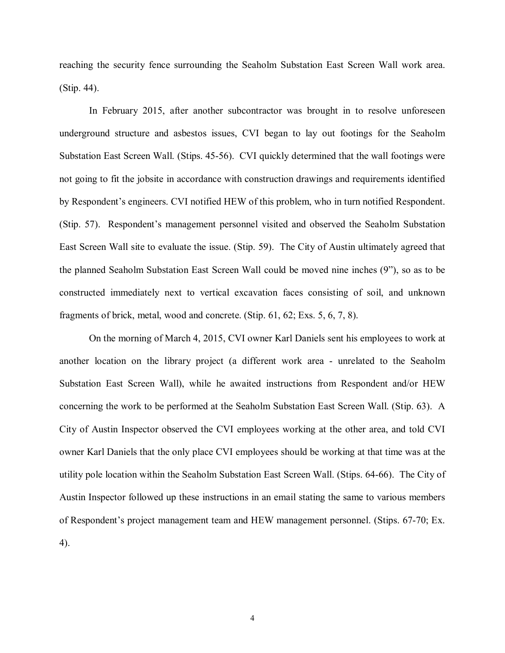reaching the security fence surrounding the Seaholm Substation East Screen Wall work area. (Stip. 44).

In February 2015, after another subcontractor was brought in to resolve unforeseen underground structure and asbestos issues, CVI began to lay out footings for the Seaholm Substation East Screen Wall. (Stips. 45-56). CVI quickly determined that the wall footings were not going to fit the jobsite in accordance with construction drawings and requirements identified by Respondent's engineers. CVI notified HEW of this problem, who in turn notified Respondent. (Stip. 57). Respondent's management personnel visited and observed the Seaholm Substation East Screen Wall site to evaluate the issue. (Stip. 59). The City of Austin ultimately agreed that the planned Seaholm Substation East Screen Wall could be moved nine inches (9"), so as to be constructed immediately next to vertical excavation faces consisting of soil, and unknown fragments of brick, metal, wood and concrete. (Stip. 61, 62; Exs. 5, 6, 7, 8).

On the morning of March 4, 2015, CVI owner Karl Daniels sent his employees to work at another location on the library project (a different work area - unrelated to the Seaholm Substation East Screen Wall), while he awaited instructions from Respondent and/or HEW concerning the work to be performed at the Seaholm Substation East Screen Wall. (Stip. 63). A City of Austin Inspector observed the CVI employees working at the other area, and told CVI owner Karl Daniels that the only place CVI employees should be working at that time was at the utility pole location within the Seaholm Substation East Screen Wall. (Stips. 64-66). The City of Austin Inspector followed up these instructions in an email stating the same to various members of Respondent's project management team and HEW management personnel. (Stips. 67-70; Ex. 4).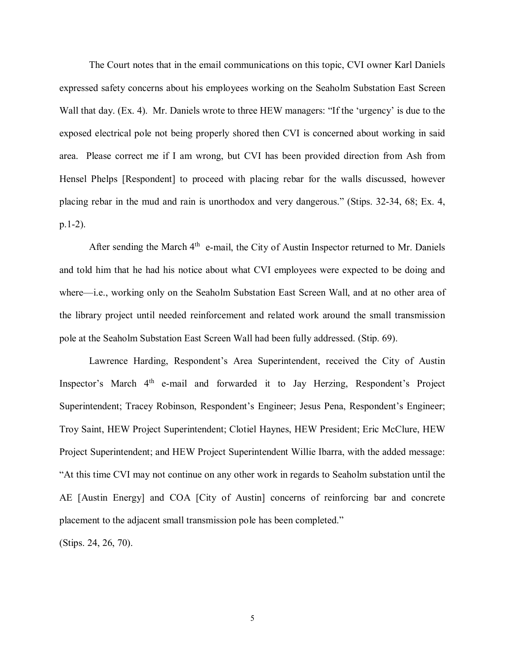The Court notes that in the email communications on this topic, CVI owner Karl Daniels expressed safety concerns about his employees working on the Seaholm Substation East Screen Wall that day. (Ex. 4). Mr. Daniels wrote to three HEW managers: "If the 'urgency' is due to the exposed electrical pole not being properly shored then CVI is concerned about working in said area. Please correct me if I am wrong, but CVI has been provided direction from Ash from Hensel Phelps [Respondent] to proceed with placing rebar for the walls discussed, however placing rebar in the mud and rain is unorthodox and very dangerous." (Stips. 32-34, 68; Ex. 4, p.1-2).

After sending the March 4<sup>th</sup> e-mail, the City of Austin Inspector returned to Mr. Daniels and told him that he had his notice about what CVI employees were expected to be doing and where—i.e., working only on the Seaholm Substation East Screen Wall, and at no other area of the library project until needed reinforcement and related work around the small transmission pole at the Seaholm Substation East Screen Wall had been fully addressed. (Stip. 69).

Lawrence Harding, Respondent's Area Superintendent, received the City of Austin Inspector's March 4<sup>th</sup> e-mail and forwarded it to Jay Herzing, Respondent's Project Superintendent; Tracey Robinson, Respondent's Engineer; Jesus Pena, Respondent's Engineer; Troy Saint, HEW Project Superintendent; Clotiel Haynes, HEW President; Eric McClure, HEW Project Superintendent; and HEW Project Superintendent Willie Ibarra, with the added message: "At this time CVI may not continue on any other work in regards to Seaholm substation until the AE [Austin Energy] and COA [City of Austin] concerns of reinforcing bar and concrete placement to the adjacent small transmission pole has been completed."

(Stips. 24, 26, 70).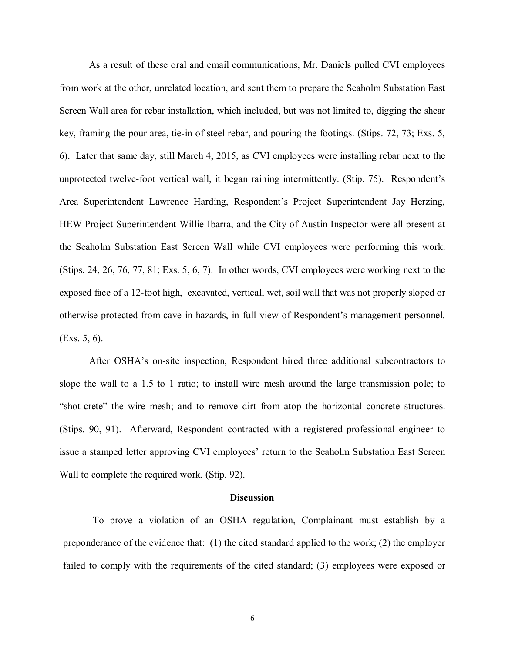As a result of these oral and email communications, Mr. Daniels pulled CVI employees from work at the other, unrelated location, and sent them to prepare the Seaholm Substation East Screen Wall area for rebar installation, which included, but was not limited to, digging the shear key, framing the pour area, tie-in of steel rebar, and pouring the footings. (Stips. 72, 73; Exs. 5, 6). Later that same day, still March 4, 2015, as CVI employees were installing rebar next to the unprotected twelve-foot vertical wall, it began raining intermittently. (Stip. 75). Respondent's Area Superintendent Lawrence Harding, Respondent's Project Superintendent Jay Herzing, HEW Project Superintendent Willie Ibarra, and the City of Austin Inspector were all present at the Seaholm Substation East Screen Wall while CVI employees were performing this work. (Stips. 24, 26, 76, 77, 81; Exs. 5, 6, 7). In other words, CVI employees were working next to the exposed face of a 12-foot high, excavated, vertical, wet, soil wall that was not properly sloped or otherwise protected from cave-in hazards, in full view of Respondent's management personnel. (Exs. 5, 6).

After OSHA's on-site inspection, Respondent hired three additional subcontractors to slope the wall to a 1.5 to 1 ratio; to install wire mesh around the large transmission pole; to "shot-crete" the wire mesh; and to remove dirt from atop the horizontal concrete structures. (Stips. 90, 91). Afterward, Respondent contracted with a registered professional engineer to issue a stamped letter approving CVI employees' return to the Seaholm Substation East Screen Wall to complete the required work. (Stip. 92).

#### **Discussion**

To prove a violation of an OSHA regulation, Complainant must establish by a preponderance of the evidence that: (1) the cited standard applied to the work; (2) the employer failed to comply with the requirements of the cited standard; (3) employees were exposed or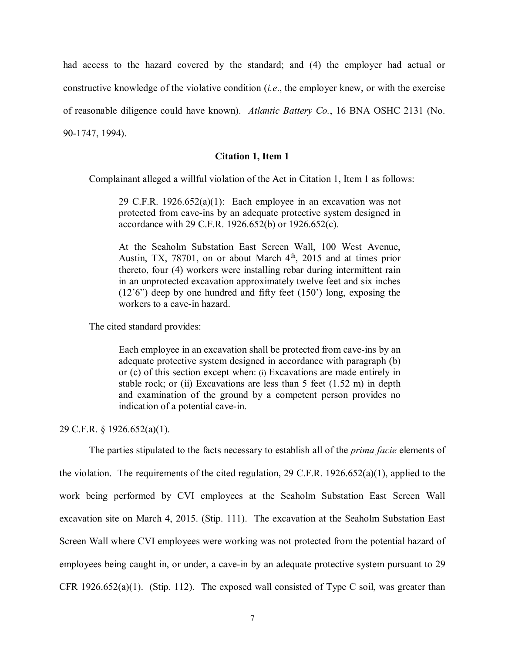had access to the hazard covered by the standard; and (4) the employer had actual or constructive knowledge of the violative condition (*i.e*., the employer knew, or with the exercise of reasonable diligence could have known). *Atlantic Battery Co.*, 16 BNA OSHC 2131 (No. 90-1747, 1994).

## **Citation 1, Item 1**

Complainant alleged a willful violation of the Act in Citation 1, Item 1 as follows:

29 C.F.R. 1926.652(a)(1): Each employee in an excavation was not protected from cave-ins by an adequate protective system designed in accordance with 29 C.F.R. 1926.652(b) or 1926.652(c).

At the Seaholm Substation East Screen Wall, 100 West Avenue, Austin, TX, 78701, on or about March  $4<sup>th</sup>$ , 2015 and at times prior thereto, four (4) workers were installing rebar during intermittent rain in an unprotected excavation approximately twelve feet and six inches (12'6") deep by one hundred and fifty feet (150') long, exposing the workers to a cave-in hazard.

The cited standard provides:

Each employee in an excavation shall be protected from cave-ins by an adequate protective system designed in accordance with paragraph (b) or (c) of this section except when: (i) Excavations are made entirely in stable rock; or (ii) Excavations are less than  $5$  feet (1.52 m) in depth and examination of the ground by a competent person provides no indication of a potential cave-in.

29 C.F.R. § 1926.652(a)(1).

The parties stipulated to the facts necessary to establish all of the *prima facie* elements of the violation. The requirements of the cited regulation, 29 C.F.R. 1926.652(a)(1), applied to the work being performed by CVI employees at the Seaholm Substation East Screen Wall excavation site on March 4, 2015. (Stip. 111). The excavation at the Seaholm Substation East Screen Wall where CVI employees were working was not protected from the potential hazard of employees being caught in, or under, a cave-in by an adequate protective system pursuant to 29 CFR 1926.652(a)(1). (Stip. 112). The exposed wall consisted of Type C soil, was greater than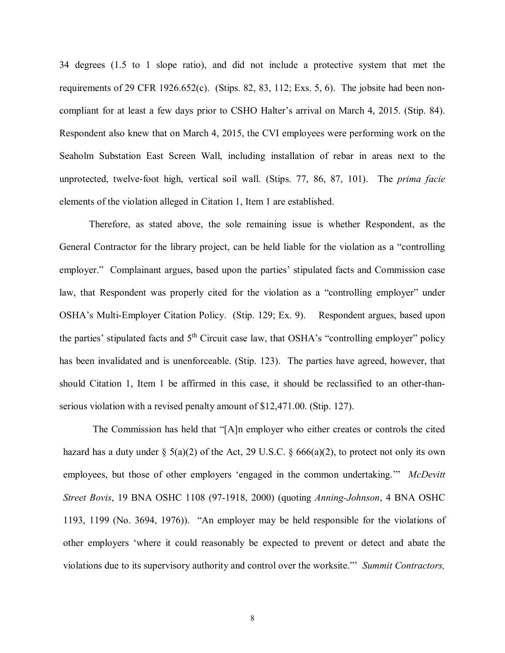34 degrees (1.5 to 1 slope ratio), and did not include a protective system that met the requirements of 29 CFR 1926.652(c). (Stips. 82, 83, 112; Exs. 5, 6). The jobsite had been noncompliant for at least a few days prior to CSHO Halter's arrival on March 4, 2015. (Stip. 84). Respondent also knew that on March 4, 2015, the CVI employees were performing work on the Seaholm Substation East Screen Wall, including installation of rebar in areas next to the unprotected, twelve-foot high, vertical soil wall. (Stips. 77, 86, 87, 101). The *prima facie* elements of the violation alleged in Citation 1, Item 1 are established.

Therefore, as stated above, the sole remaining issue is whether Respondent, as the General Contractor for the library project, can be held liable for the violation as a "controlling employer." Complainant argues, based upon the parties' stipulated facts and Commission case law, that Respondent was properly cited for the violation as a "controlling employer" under OSHA's Multi-Employer Citation Policy. (Stip. 129; Ex. 9). Respondent argues, based upon the parties' stipulated facts and  $5<sup>th</sup>$  Circuit case law, that OSHA's "controlling employer" policy has been invalidated and is unenforceable. (Stip. 123). The parties have agreed, however, that should Citation 1, Item 1 be affirmed in this case, it should be reclassified to an other-thanserious violation with a revised penalty amount of \$12,471.00. (Stip. 127).

The Commission has held that "[A]n employer who either creates or controls the cited hazard has a duty under  $\S$  5(a)(2) of the Act, 29 U.S.C.  $\S$  666(a)(2), to protect not only its own employees, but those of other employers 'engaged in the common undertaking.'" *McDevitt Street Bovis*, 19 BNA OSHC 1108 (97-1918, 2000) (quoting *Anning-Johnson*, 4 BNA OSHC 1193, 1199 (No. 3694, 1976)). "An employer may be held responsible for the violations of other employers 'where it could reasonably be expected to prevent or detect and abate the violations due to its supervisory authority and control over the worksite."' *Summit Contractors,*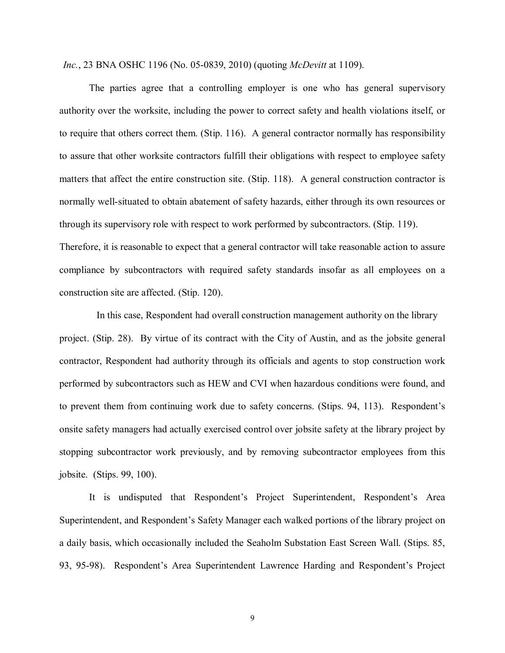*Inc.*, 23 BNA OSHC 1196 (No. 05-0839, 2010) (quoting *McDevitt* at 1109).

The parties agree that a controlling employer is one who has general supervisory authority over the worksite, including the power to correct safety and health violations itself, or to require that others correct them. (Stip. 116). A general contractor normally has responsibility to assure that other worksite contractors fulfill their obligations with respect to employee safety matters that affect the entire construction site. (Stip. 118). A general construction contractor is normally well-situated to obtain abatement of safety hazards, either through its own resources or through its supervisory role with respect to work performed by subcontractors. (Stip. 119). Therefore, it is reasonable to expect that a general contractor will take reasonable action to assure compliance by subcontractors with required safety standards insofar as all employees on a construction site are affected. (Stip. 120).

 In this case, Respondent had overall construction management authority on the library project. (Stip. 28). By virtue of its contract with the City of Austin, and as the jobsite general contractor, Respondent had authority through its officials and agents to stop construction work performed by subcontractors such as HEW and CVI when hazardous conditions were found, and to prevent them from continuing work due to safety concerns. (Stips. 94, 113). Respondent's onsite safety managers had actually exercised control over jobsite safety at the library project by stopping subcontractor work previously, and by removing subcontractor employees from this jobsite. (Stips. 99, 100).

It is undisputed that Respondent's Project Superintendent, Respondent's Area Superintendent, and Respondent's Safety Manager each walked portions of the library project on a daily basis, which occasionally included the Seaholm Substation East Screen Wall. (Stips. 85, 93, 95-98). Respondent's Area Superintendent Lawrence Harding and Respondent's Project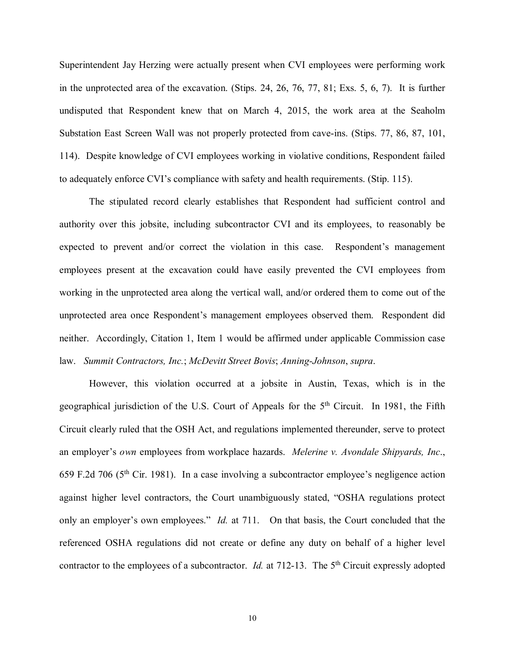Superintendent Jay Herzing were actually present when CVI employees were performing work in the unprotected area of the excavation. (Stips. 24, 26, 76, 77, 81; Exs. 5, 6, 7). It is further undisputed that Respondent knew that on March 4, 2015, the work area at the Seaholm Substation East Screen Wall was not properly protected from cave-ins. (Stips. 77, 86, 87, 101, 114). Despite knowledge of CVI employees working in violative conditions, Respondent failed to adequately enforce CVI's compliance with safety and health requirements. (Stip. 115).

The stipulated record clearly establishes that Respondent had sufficient control and authority over this jobsite, including subcontractor CVI and its employees, to reasonably be expected to prevent and/or correct the violation in this case. Respondent's management employees present at the excavation could have easily prevented the CVI employees from working in the unprotected area along the vertical wall, and/or ordered them to come out of the unprotected area once Respondent's management employees observed them. Respondent did neither. Accordingly, Citation 1, Item 1 would be affirmed under applicable Commission case law. *Summit Contractors, Inc.*; *McDevitt Street Bovis*; *Anning-Johnson*, *supra*.

However, this violation occurred at a jobsite in Austin, Texas, which is in the geographical jurisdiction of the U.S. Court of Appeals for the 5<sup>th</sup> Circuit. In 1981, the Fifth Circuit clearly ruled that the OSH Act, and regulations implemented thereunder, serve to protect an employer's *own* employees from workplace hazards. *Melerine v. Avondale Shipyards, Inc*., 659 F.2d 706 ( $5<sup>th</sup>$  Cir. 1981). In a case involving a subcontractor employee's negligence action against higher level contractors, the Court unambiguously stated, "OSHA regulations protect only an employer's own employees." *Id.* at 711. On that basis, the Court concluded that the referenced OSHA regulations did not create or define any duty on behalf of a higher level contractor to the employees of a subcontractor. *Id.* at 712-13. The 5<sup>th</sup> Circuit expressly adopted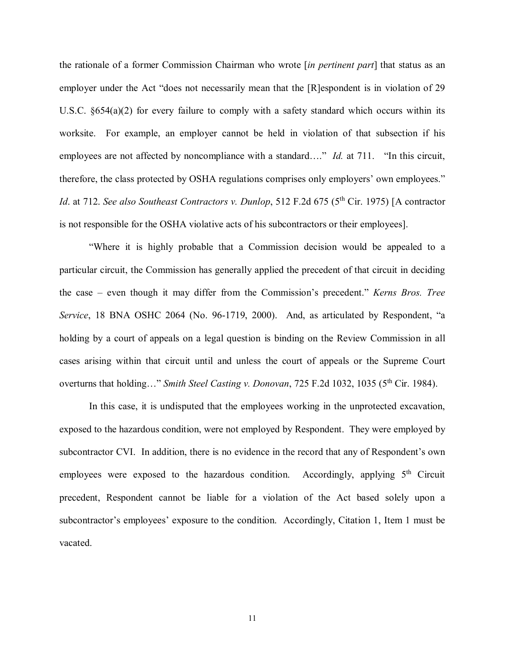the rationale of a former Commission Chairman who wrote [*in pertinent part*] that status as an employer under the Act "does not necessarily mean that the [R]espondent is in violation of 29 U.S.C.  $\S654(a)(2)$  for every failure to comply with a safety standard which occurs within its worksite. For example, an employer cannot be held in violation of that subsection if his employees are not affected by noncompliance with a standard…." *Id.* at 711. "In this circuit, therefore, the class protected by OSHA regulations comprises only employers' own employees." *Id.* at 712. *See also Southeast Contractors v. Dunlop*, 512 F.2d 675 (5<sup>th</sup> Cir. 1975) [A contractor is not responsible for the OSHA violative acts of his subcontractors or their employees].

"Where it is highly probable that a Commission decision would be appealed to a particular circuit, the Commission has generally applied the precedent of that circuit in deciding the case – even though it may differ from the Commission's precedent." *Kerns Bros. Tree Service*, 18 BNA OSHC 2064 (No. 96-1719, 2000). And, as articulated by Respondent, "a holding by a court of appeals on a legal question is binding on the Review Commission in all cases arising within that circuit until and unless the court of appeals or the Supreme Court overturns that holding…" *Smith Steel Casting v. Donovan*, 725 F.2d 1032, 1035 (5<sup>th</sup> Cir. 1984).

In this case, it is undisputed that the employees working in the unprotected excavation, exposed to the hazardous condition, were not employed by Respondent. They were employed by subcontractor CVI. In addition, there is no evidence in the record that any of Respondent's own employees were exposed to the hazardous condition. Accordingly, applying  $5<sup>th</sup>$  Circuit precedent, Respondent cannot be liable for a violation of the Act based solely upon a subcontractor's employees' exposure to the condition. Accordingly, Citation 1, Item 1 must be vacated.